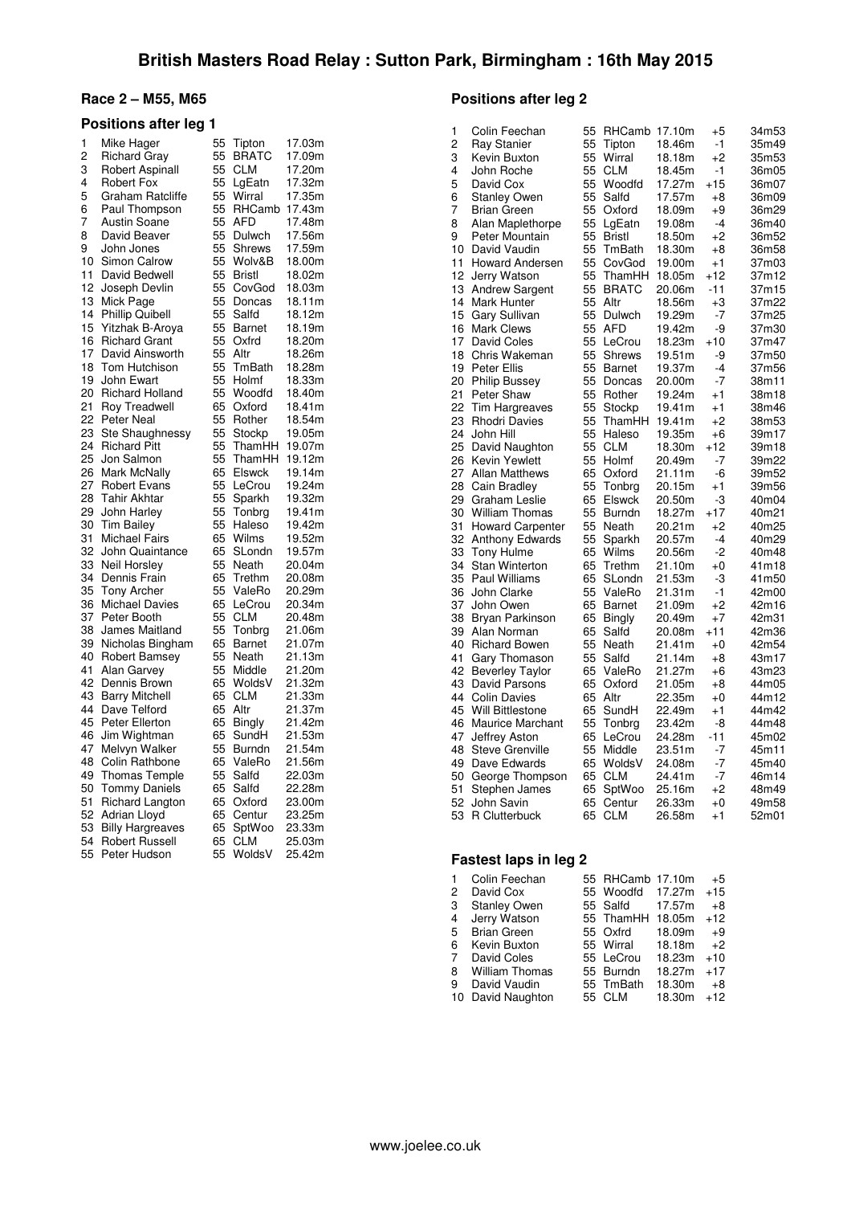### **Race 2 – M55, M65**

#### **Positions after leg 1**

| 1  | Mike Hager              | 55 | Tipton        | 17.03m |
|----|-------------------------|----|---------------|--------|
| 2  | <b>Richard Gray</b>     | 55 | <b>BRATC</b>  | 17.09m |
|    |                         |    |               |        |
| 3  | Robert Aspinall         | 55 | CLM           | 17.20m |
| 4  | <b>Robert Fox</b>       | 55 | LgEatn        | 17.32m |
|    |                         |    |               |        |
| 5  | Graham Ratcliffe        | 55 | Wirral        | 17.35m |
| 6  | Paul Thompson           | 55 | RHCamb        | 17.43m |
|    |                         |    |               |        |
| 7  | Austin Soane            | 55 | AFD           | 17.48m |
| 8  | David Beaver            | 55 | Dulwch        | 17.56m |
| 9  | John Jones              | 55 | Shrews        | 17.59m |
|    |                         |    |               |        |
| 10 | <b>Simon Calrow</b>     | 55 | Wolv&B        | 18.00m |
| 11 | David Bedwell           | 55 | <b>Bristl</b> | 18.02m |
|    |                         |    |               |        |
| 12 | Joseph Devlin           | 55 | CovGod        | 18.03m |
| 13 | Mick Page               | 55 | Doncas        | 18.11m |
| 14 | <b>Phillip Quibell</b>  | 55 | Salfd         | 18.12m |
|    |                         |    |               |        |
| 15 | Yitzhak B-Aroya         | 55 | Barnet        | 18.19m |
| 16 | <b>Richard Grant</b>    | 55 | Oxfrd         | 18.20m |
|    |                         |    |               |        |
| 17 | David Ainsworth         | 55 | Altr          | 18.26m |
| 18 | Tom Hutchison           | 55 | TmBath        | 18.28m |
| 19 | John Ewart              | 55 | Holmf         | 18.33m |
|    |                         |    |               |        |
| 20 | <b>Richard Holland</b>  | 55 | Woodfd        | 18.40m |
| 21 | Roy Treadwell           | 65 | Oxford        | 18.41m |
|    |                         |    |               |        |
| 22 | Peter Neal              | 55 | Rother        | 18.54m |
| 23 | Ste Shaughnessy         | 55 | Stockp        | 19.05m |
| 24 | <b>Richard Pitt</b>     | 55 | ThamHH        | 19.07m |
|    |                         |    |               |        |
| 25 | Jon Salmon              | 55 | ThamHH        | 19.12m |
| 26 | Mark McNally            | 65 | Elswck        | 19.14m |
| 27 | <b>Robert Evans</b>     | 55 |               | 19.24m |
|    |                         |    | LeCrou        |        |
| 28 | <b>Tahir Akhtar</b>     | 55 | Sparkh        | 19.32m |
| 29 | John Harley             | 55 | Tonbrg        | 19.41m |
|    |                         |    |               |        |
| 30 | <b>Tim Bailey</b>       | 55 | Haleso        | 19.42m |
| 31 | <b>Michael Fairs</b>    | 65 | Wilms         | 19.52m |
| 32 | John Quaintance         | 65 | SLondn        | 19.57m |
|    |                         |    |               |        |
| 33 | Neil Horsley            | 55 | Neath         | 20.04m |
| 34 | Dennis Frain            | 65 | Trethm        | 20.08m |
| 35 |                         | 55 | ValeRo        | 20.29m |
|    | <b>Tony Archer</b>      |    |               |        |
| 36 | <b>Michael Davies</b>   | 65 | LeCrou        | 20.34m |
| 37 | Peter Booth             | 55 | <b>CLM</b>    | 20.48m |
|    |                         |    |               |        |
| 38 | James Maitland          | 55 | Tonbrg        | 21.06m |
| 39 | Nicholas Bingham        | 65 | Barnet        | 21.07m |
| 40 | Robert Bamsey           | 55 | Neath         | 21.13m |
|    |                         |    |               |        |
| 41 | Alan Garvey             | 55 | Middle        | 21.20m |
| 42 | Dennis Brown            | 65 | WoldsV        | 21.32m |
| 43 | <b>Barry Mitchell</b>   | 65 | CLM           | 21.33m |
|    |                         |    |               |        |
| 44 | Dave Telford            | 65 | Altr          | 21.37m |
| 45 | Peter Ellerton          | 65 | Bingly        | 21.42m |
|    |                         |    |               |        |
| 46 | Jim Wightman            | 65 | SundH         | 21.53m |
| 47 | Melvyn Walker           | 55 | Burndn        | 21.54m |
| 48 | Colin Rathbone          | 65 | ValeRo        | 21.56m |
|    |                         |    |               |        |
| 49 | <b>Thomas Temple</b>    | 55 | Salfd         | 22.03m |
| 50 | <b>Tommy Daniels</b>    | 65 | Salfd         | 22.28m |
| 51 |                         | 65 | Oxford        | 23.00m |
|    | <b>Richard Langton</b>  |    |               |        |
| 52 | Adrian Lloyd            | 65 | Centur        | 23.25m |
| 53 | <b>Billy Hargreaves</b> | 65 | SptWoo        | 23.33m |
| 54 | <b>Robert Russell</b>   | 65 | CLM           | 25.03m |
|    |                         |    |               |        |
| 55 | Peter Hudson            | 55 | WoldsV        | 25.42m |

## **Positions after leg 2**

| 1  | Colin Feechan           | 55 | RHCamb        | 17.10m | $+5$  | 34m53 |
|----|-------------------------|----|---------------|--------|-------|-------|
| 2  | <b>Ray Stanier</b>      | 55 | Tipton        | 18.46m | $-1$  | 35m49 |
| 3  | Kevin Buxton            | 55 | Wirral        | 18.18m | $+2$  | 35m53 |
| 4  | John Roche              | 55 | <b>CLM</b>    | 18.45m | -1    | 36m05 |
| 5  | David Cox               | 55 | Woodfd        | 17.27m | $+15$ | 36m07 |
| 6  | <b>Stanley Owen</b>     | 55 | Salfd         | 17.57m | $+8$  | 36m09 |
| 7  | <b>Brian Green</b>      | 55 | Oxford        | 18.09m | $+9$  | 36m29 |
| 8  | Alan Maplethorpe        | 55 | LgEatn        | 19.08m | $-4$  | 36m40 |
| 9  | Peter Mountain          | 55 | <b>Bristl</b> | 18.50m | $+2$  | 36m52 |
| 10 | David Vaudin            | 55 | TmBath        | 18.30m | $+8$  | 36m58 |
| 11 | <b>Howard Andersen</b>  | 55 | CovGod        | 19.00m | $+1$  | 37m03 |
| 12 | Jerry Watson            | 55 | ThamHH        | 18.05m | $+12$ | 37m12 |
| 13 | <b>Andrew Sargent</b>   | 55 | <b>BRATC</b>  | 20.06m | $-11$ | 37m15 |
| 14 | Mark Hunter             | 55 | Altr          | 18.56m | $+3$  | 37m22 |
|    |                         | 55 |               | 19.29m | $-7$  | 37m25 |
| 15 | Gary Sullivan           |    | Dulwch        |        |       |       |
| 16 | <b>Mark Clews</b>       | 55 | AFD           | 19.42m | -9    | 37m30 |
| 17 | <b>David Coles</b>      | 55 | LeCrou        | 18.23m | $+10$ | 37m47 |
| 18 | Chris Wakeman           | 55 | <b>Shrews</b> | 19.51m | -9    | 37m50 |
| 19 | Peter Ellis             | 55 | Barnet        | 19.37m | $-4$  | 37m56 |
| 20 | <b>Philip Bussey</b>    | 55 | Doncas        | 20.00m | $-7$  | 38m11 |
| 21 | Peter Shaw              | 55 | Rother        | 19.24m | $+1$  | 38m18 |
| 22 | Tim Hargreaves          | 55 | Stockp        | 19.41m | $+1$  | 38m46 |
| 23 | <b>Rhodri Davies</b>    | 55 | ThamHH        | 19.41m | $+2$  | 38m53 |
| 24 | John Hill               | 55 | Haleso        | 19.35m | $+6$  | 39m17 |
| 25 | David Naughton          | 55 | CLM           | 18.30m | $+12$ | 39m18 |
| 26 | <b>Kevin Yewlett</b>    | 55 | Holmf         | 20.49m | -7    | 39m22 |
| 27 | Allan Matthews          | 65 | Oxford        | 21.11m | -6    | 39m52 |
| 28 | Cain Bradley            | 55 | Tonbrg        | 20.15m | $+1$  | 39m56 |
| 29 | <b>Graham Leslie</b>    | 65 | Elswck        | 20.50m | -3    | 40m04 |
| 30 | <b>William Thomas</b>   | 55 | Burndn        | 18.27m | $+17$ | 40m21 |
| 31 | <b>Howard Carpenter</b> | 55 | Neath         | 20.21m | $+2$  | 40m25 |
| 32 | Anthony Edwards         | 55 | Sparkh        | 20.57m | $-4$  | 40m29 |
| 33 | Tony Hulme              | 65 | Wilms         | 20.56m | $-2$  | 40m48 |
| 34 | <b>Stan Winterton</b>   | 65 | Trethm        | 21.10m | $+0$  | 41m18 |
| 35 | <b>Paul Williams</b>    | 65 | SLondn        | 21.53m | -3    | 41m50 |
| 36 | John Clarke             | 55 | ValeRo        | 21.31m | $-1$  | 42m00 |
| 37 | John Owen               | 65 | Barnet        | 21.09m | $+2$  | 42m16 |
| 38 | Bryan Parkinson         | 65 | Bingly        | 20.49m | $+7$  | 42m31 |
| 39 | Alan Norman             | 65 | Salfd         | 20.08m | $+11$ | 42m36 |
| 40 | <b>Richard Bowen</b>    | 55 | Neath         | 21.41m | $+0$  | 42m54 |
| 41 | Gary Thomason           | 55 | Salfd         | 21.14m | $+8$  | 43m17 |
| 42 | <b>Beverley Taylor</b>  | 65 | ValeRo        | 21.27m | $+6$  | 43m23 |
| 43 |                         | 65 | Oxford        | 21.05m | $+8$  | 44m05 |
|    | David Parsons           |    |               |        |       |       |
| 44 | <b>Colin Davies</b>     | 65 | Altr          | 22.35m | $+0$  | 44m12 |
| 45 | Will Bittlestone        | 65 | SundH         | 22.49m | $+1$  | 44m42 |
| 46 | <b>Maurice Marchant</b> | 55 | Tonbrg        | 23.42m | -8    | 44m48 |
| 47 | Jeffrey Aston           | 65 | LeCrou        | 24.28m | $-11$ | 45m02 |
| 48 | <b>Steve Grenville</b>  | 55 | Middle        | 23.51m | $-7$  | 45m11 |
| 49 | Dave Edwards            | 65 | WoldsV        | 24.08m | -7    | 45m40 |
| 50 | George Thompson         | 65 | CLM           | 24.41m | $-7$  | 46m14 |
| 51 | Stephen James           | 65 | SptWoo        | 25.16m | $+2$  | 48m49 |
| 52 | John Savin              | 65 | Centur        | 26.33m | $+0$  | 49m58 |
| 53 | R Clutterbuck           | 65 | <b>CLM</b>    | 26.58m | $+1$  | 52m01 |

#### **Fastest laps in leg 2**

|    | Colin Feechan         | 55 RHCamb 17.10m |        | $+5$  |
|----|-----------------------|------------------|--------|-------|
| 2  | David Cox             | 55 Woodfd        | 17.27m | $+15$ |
| 3  | <b>Stanley Owen</b>   | 55 Salfd         | 17.57m | $+8$  |
| 4  | Jerry Watson          | 55 ThamHH        | 18.05m | $+12$ |
| 5  | <b>Brian Green</b>    | 55 Oxfrd         | 18.09m | $+9$  |
| 6  | Kevin Buxton          | 55 Wirral        | 18.18m | $+2$  |
| 7  | David Coles           | 55 LeCrou        | 18.23m | $+10$ |
| 8  | <b>William Thomas</b> | 55 Burndn        | 18.27m | $+17$ |
| 9  | David Vaudin          | 55 TmBath        | 18.30m | $+8$  |
| 10 | David Naughton        | 55 CLM           | 18.30m | $+12$ |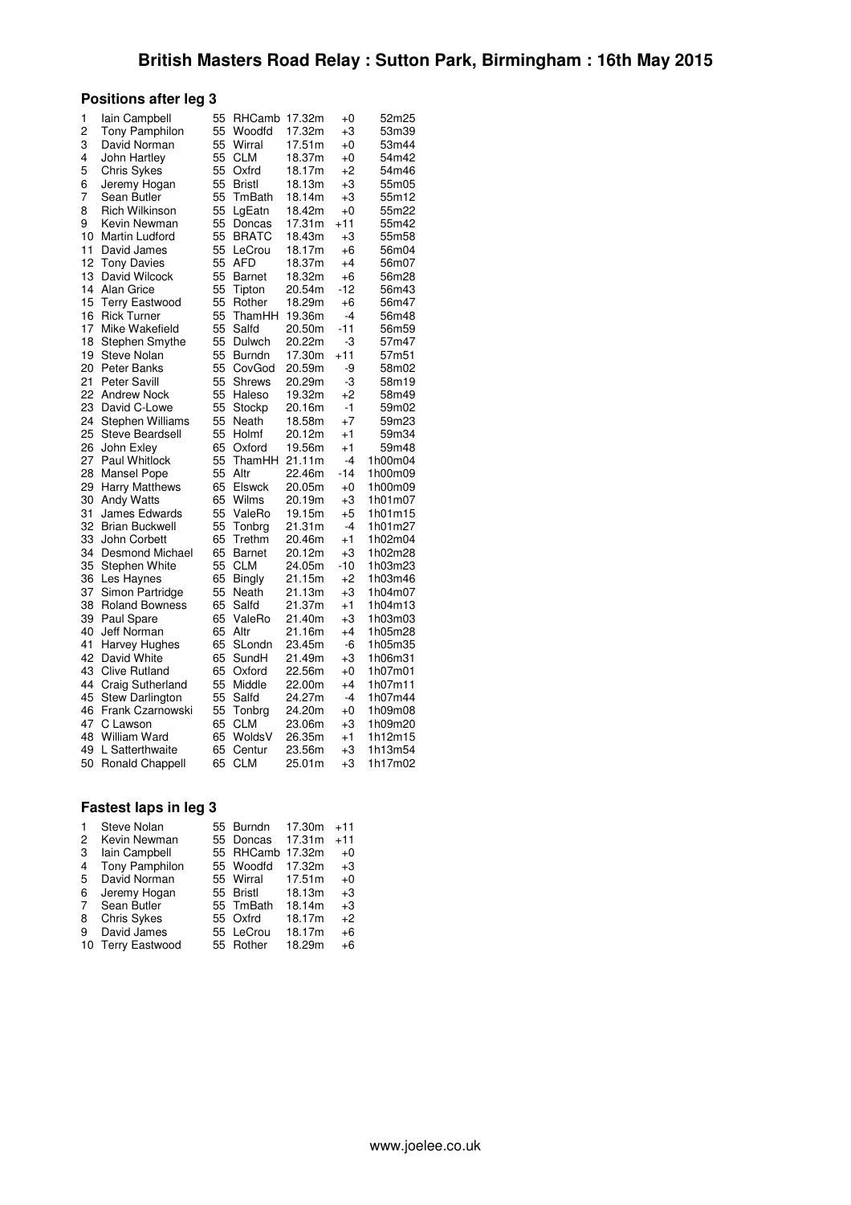#### **Positions after leg 3**

|    | Ð                      |    |               |        |         |         |
|----|------------------------|----|---------------|--------|---------|---------|
| 1  | lain Campbell          | 55 | RHCamb        | 17.32m | $^{+0}$ | 52m25   |
| 2  | <b>Tony Pamphilon</b>  | 55 | Woodfd        | 17.32m | $+3$    | 53m39   |
| 3  | David Norman           | 55 | Wirral        | 17.51m | $+0$    | 53m44   |
| 4  | John Hartley           | 55 | CLM           | 18.37m | $+0$    | 54m42   |
| 5  | Chris Sykes            | 55 | Oxfrd         | 18.17m | $+2$    | 54m46   |
| 6  | Jeremy Hogan           | 55 | Bristl        | 18.13m | $+3$    | 55m05   |
| 7  | Sean Butler            | 55 | TmBath        | 18.14m | $+3$    | 55m12   |
| 8  | Rich Wilkinson         | 55 | LgEatn        | 18.42m | $+0$    | 55m22   |
| 9  | Kevin Newman           | 55 | Doncas        | 17.31m | $+11$   | 55m42   |
| 10 | <b>Martin Ludford</b>  | 55 | <b>BRATC</b>  | 18.43m | $+3$    | 55m58   |
| 11 | David James            | 55 | LeCrou        | 18.17m | $+6$    | 56m04   |
| 12 | <b>Tony Davies</b>     | 55 | <b>AFD</b>    | 18.37m | $+4$    | 56m07   |
| 13 | David Wilcock          | 55 | <b>Barnet</b> | 18.32m | $+6$    | 56m28   |
| 14 | Alan Grice             | 55 | Tipton        | 20.54m | $-12$   | 56m43   |
| 15 | <b>Terry Eastwood</b>  | 55 | Rother        | 18.29m | $+6$    | 56m47   |
| 16 | <b>Rick Turner</b>     | 55 | ThamHH        | 19.36m | $-4$    | 56m48   |
| 17 | Mike Wakefield         | 55 | Salfd         | 20.50m | $-11$   | 56m59   |
| 18 | Stephen Smythe         | 55 | Dulwch        | 20.22m | -3      | 57m47   |
| 19 | <b>Steve Nolan</b>     | 55 | Burndn        | 17.30m | $+11$   | 57m51   |
| 20 | Peter Banks            | 55 | CovGod        | 20.59m | -9      | 58m02   |
| 21 | <b>Peter Savill</b>    | 55 |               |        | -3      |         |
|    |                        |    | Shrews        | 20.29m |         | 58m19   |
| 22 | <b>Andrew Nock</b>     | 55 | Haleso        | 19.32m | +2      | 58m49   |
| 23 | David C-Lowe           | 55 | Stockp        | 20.16m | $-1$    | 59m02   |
| 24 | Stephen Williams       | 55 | Neath         | 18.58m | $+7$    | 59m23   |
| 25 | Steve Beardsell        | 55 | Holmf         | 20.12m | $+1$    | 59m34   |
| 26 | John Exley             | 65 | Oxford        | 19.56m | $+1$    | 59m48   |
| 27 | <b>Paul Whitlock</b>   | 55 | ThamHH        | 21.11m | -4      | 1h00m04 |
| 28 | Mansel Pope            | 55 | Altr          | 22.46m | $-14$   | 1h00m09 |
| 29 | <b>Harry Matthews</b>  | 65 | Elswck        | 20.05m | $+0$    | 1h00m09 |
| 30 | Andy Watts             | 65 | Wilms         | 20.19m | $+3$    | 1h01m07 |
| 31 | James Edwards          | 55 | ValeRo        | 19.15m | $+5$    | 1h01m15 |
| 32 | <b>Brian Buckwell</b>  | 55 | Tonbrg        | 21.31m | $-4$    | 1h01m27 |
| 33 | John Corbett           | 65 | Trethm        | 20.46m | $+1$    | 1h02m04 |
| 34 | <b>Desmond Michael</b> | 65 | Barnet        | 20.12m | +3      | 1h02m28 |
| 35 | <b>Stephen White</b>   | 55 | CLM           | 24.05m | $-10$   | 1h03m23 |
| 36 | Les Haynes             | 65 | Bingly        | 21.15m | $+2$    | 1h03m46 |
| 37 | Simon Partridge        | 55 | Neath         | 21.13m | $+3$    | 1h04m07 |
| 38 | <b>Roland Bowness</b>  | 65 | Salfd         | 21.37m | $+1$    | 1h04m13 |
| 39 | Paul Spare             | 65 | ValeRo        | 21.40m | $+3$    | 1h03m03 |
| 40 | Jeff Norman            | 65 | Altr          | 21.16m | $+4$    | 1h05m28 |
| 41 | <b>Harvey Hughes</b>   | 65 | SLondn        | 23.45m | -6      | 1h05m35 |
| 42 | David White            | 65 | SundH         | 21.49m | $+3$    | 1h06m31 |
| 43 | <b>Clive Rutland</b>   | 65 | Oxford        | 22.56m | +0      | 1h07m01 |
| 44 | Craig Sutherland       | 55 | Middle        | 22.00m | $+4$    | 1h07m11 |
| 45 | <b>Stew Darlington</b> | 55 | Salfd         | 24.27m | $-4$    | 1h07m44 |
| 46 | Frank Czarnowski       | 55 | Tonbrg        | 24.20m | $^{+0}$ | 1h09m08 |
| 47 | C Lawson               | 65 | CLM           | 23.06m | $+3$    | 1h09m20 |
| 48 | <b>William Ward</b>    | 65 | WoldsV        | 26.35m | $+1$    | 1h12m15 |
| 49 | L Satterthwaite        | 65 | Centur        | 23.56m | $+3$    | 1h13m54 |
| 50 | Ronald Chappell        | 65 | CLM           | 25.01m | $+3$    | 1h17m02 |
|    |                        |    |               |        |         |         |

### **Fastest laps in leg 3**

|    | Steve Nolan           | 55 Burndn 17.30m |        | $+11$ |
|----|-----------------------|------------------|--------|-------|
| 2  | Kevin Newman          | 55 Doncas        | 17.31m | $+11$ |
| 3  | lain Campbell         | 55 RHCamb 17.32m |        | $+0$  |
| 4  | Tony Pamphilon        | 55 Woodfd        | 17.32m | $+3$  |
| 5  | David Norman          | 55 Wirral 17.51m |        | $+0$  |
| 6  | Jeremy Hogan          | 55 Bristl        | 18.13m | $+3$  |
| 7  | Sean Butler           | 55 TmBath        | 18.14m | $+3$  |
| 8  | Chris Sykes           | 55 Oxfrd         | 18.17m | $+2$  |
| 9  | David James           | 55 LeCrou        | 18.17m | $+6$  |
| 10 | <b>Terry Eastwood</b> | 55 Rother        | 18.29m | $+6$  |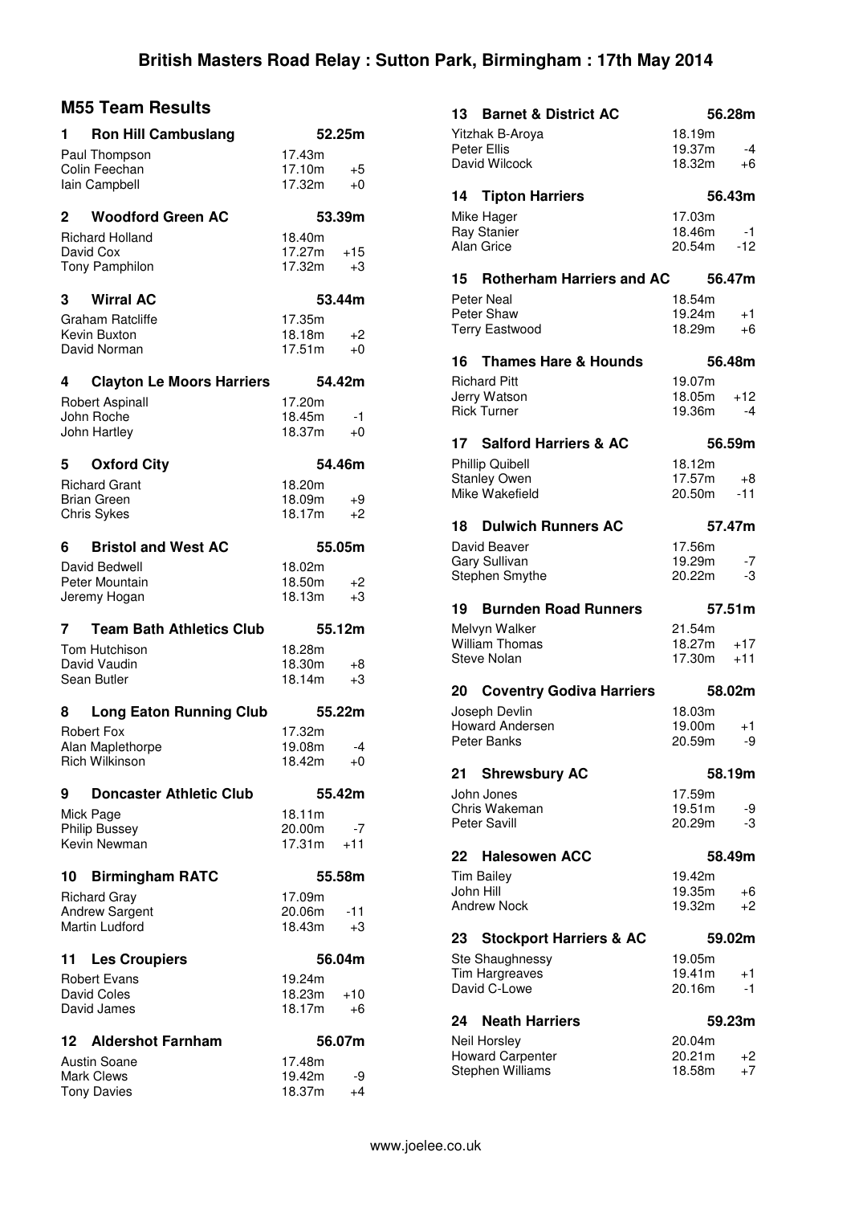# **M55 Team Results**

| 1.           | <b>Ron Hill Cambuslang</b>              |                  | 52.25m     |
|--------------|-----------------------------------------|------------------|------------|
|              | Paul Thompson                           | 17.43m           |            |
|              | Colin Feechan                           | 17.10m           | +5         |
|              | Iain Campbell                           | 17.32m           | +0         |
| $\mathbf{2}$ | <b>Woodford Green AC</b>                |                  | 53.39m     |
|              | <b>Richard Holland</b>                  | 18.40m           |            |
|              | David Cox                               | 17.27m           | $+15$      |
|              | <b>Tony Pamphilon</b>                   | 17.32m           | +3         |
| 3            | <b>Wirral AC</b>                        |                  | 53.44m     |
|              | Graham Ratcliffe                        | 17.35m           |            |
|              | Kevin Buxton                            | 18.18m           | +2         |
|              | David Norman                            | 17.51m           | $+0$       |
| 4            | <b>Clayton Le Moors Harriers</b>        |                  | 54.42m     |
|              | Robert Aspinall                         | 17.20m           |            |
|              | John Roche                              | 18.45m           | -1         |
|              | John Hartley                            | 18.37m           | +0         |
| 5            | <b>Oxford City</b>                      |                  | 54.46m     |
|              | <b>Richard Grant</b>                    | 18.20m           |            |
|              | <b>Brian Green</b>                      | 18.09m           | +9         |
|              | <b>Chris Sykes</b>                      | 18.17m           | +2         |
| 6            | <b>Bristol and West AC</b>              |                  | 55.05m     |
|              | David Bedwell                           | 18.02m           |            |
|              | Peter Mountain                          | 18.50m           | +2         |
|              | Jeremy Hogan                            | 18.13m           | +3         |
|              |                                         |                  |            |
| 7            | <b>Team Bath Athletics Club</b>         |                  | 55.12m     |
|              | Tom Hutchison                           | 18.28m           |            |
|              | David Vaudin                            | 18.30m           | +8         |
|              | Sean Butler                             | 18.14m           | +3         |
| 8            | <b>Long Eaton Running Club</b>          |                  | 55.22m     |
|              | <b>Robert Fox</b>                       | 17.32m           |            |
|              | Alan Maplethorpe                        | 19.08m           | -4         |
|              | <b>Rich Wilkinson</b>                   | 18.42m           | +0         |
| 9            | <b>Doncaster Athletic Club</b>          |                  | 55.42m     |
|              | Mick Page                               | 18.11m           |            |
|              | <b>Philip Bussey</b>                    | 20.00m           | -7         |
|              | Kevin Newman                            | 17.31m           | $+11$      |
| 10           | <b>Birmingham RATC</b>                  |                  | 55.58m     |
|              | <b>Richard Gray</b>                     | 17.09m           |            |
|              | <b>Andrew Sargent</b><br>Martin Ludford | 20.06m<br>18.43m | -11<br>+3  |
|              |                                         |                  |            |
| 11           | <b>Les Croupiers</b>                    |                  | 56.04m     |
|              | Robert Evans<br>David Coles             | 19.24m<br>18.23m | $+10$      |
|              | David James                             | 18.17m           | +6         |
| 12.          | <b>Aldershot Farnham</b>                |                  | 56.07m     |
|              | Austin Soane                            | 17.48m           |            |
|              | <b>Mark Clews</b><br><b>Tony Davies</b> | 19.42m<br>18.37m | -9<br>$+4$ |

| 13<br><b>Barnet &amp; District AC</b>         |                  | 56.28m         |
|-----------------------------------------------|------------------|----------------|
| Yitzhak B-Aroya                               | 18.19m           |                |
| Peter Ellis<br>David Wilcock                  | 19.37m<br>18.32m | $-4$<br>+6     |
|                                               |                  |                |
| <b>14 Tipton Harriers</b>                     |                  | 56.43m         |
| Mike Hager                                    | 17.03m           |                |
| <b>Ray Stanier</b><br>Alan Grice              | 18.46m<br>20.54m | -1<br>$-12$    |
|                                               |                  |                |
| 15<br><b>Rotherham Harriers and AC</b>        |                  | 56.47m         |
| Peter Neal                                    | 18.54m           |                |
| Peter Shaw<br><b>Terry Eastwood</b>           | 19.24m<br>18.29m | $+1$<br>+6     |
|                                               |                  |                |
| <b>Thames Hare &amp; Hounds</b><br>16         |                  | 56.48m         |
| <b>Richard Pitt</b>                           | 19.07m           |                |
| Jerry Watson<br><b>Rick Turner</b>            | 18.05m<br>19.36m | $+12$<br>$-4$  |
|                                               |                  |                |
| <b>Salford Harriers &amp; AC</b><br>17        |                  | 56.59m         |
| <b>Phillip Quibell</b><br><b>Stanley Owen</b> | 18.12m           |                |
| Mike Wakefield                                | 17.57m<br>20.50m | +8<br>$-11$    |
|                                               |                  |                |
| <b>Dulwich Runners AC</b><br>18               |                  | 57.47m         |
| David Beaver<br>Gary Sullivan                 | 17.56m<br>19.29m | -7             |
| Stephen Smythe                                | 20.22m           | -3             |
|                                               |                  |                |
|                                               |                  |                |
| <b>Burnden Road Runners</b><br>19             |                  | 57.51m         |
| Melvyn Walker                                 | 21.54m           |                |
| <b>William Thomas</b><br><b>Steve Nolan</b>   | 18.27m<br>17.30m | $+17$<br>$+11$ |
|                                               |                  |                |
| 20<br><b>Coventry Godiva Harriers</b>         |                  | 58.02m         |
| Joseph Devlin<br><b>Howard Andersen</b>       | 18.03m<br>19.00m | $+1$           |
| Peter Banks                                   | 20.59m           | -9             |
| 21                                            |                  | 58.19m         |
| <b>Shrewsbury AC</b><br>John Jones            | 17.59m           |                |
| Chris Wakeman                                 | 19.51m           | -9             |
| Peter Savill                                  | 20.29m           | -3             |
| <b>Halesowen ACC</b><br>22                    |                  | 58.49m         |
| <b>Tim Bailey</b>                             | 19.42m           |                |
| John Hill                                     | 19.35m           | +6             |
| <b>Andrew Nock</b>                            | 19.32m           | $+2$           |
| <b>Stockport Harriers &amp; AC</b><br>23      |                  | 59.02m         |
| Ste Shaughnessy                               | 19.05m           |                |
| <b>Tim Hargreaves</b>                         | 19.41m           | $+1$<br>-1     |
| David C-Lowe                                  | 20.16m           |                |
| <b>Neath Harriers</b><br>24.                  |                  | 59.23m         |
| Neil Horsley                                  | 20.04m           |                |
| <b>Howard Carpenter</b><br>Stephen Williams   | 20.21m<br>18.58m | +2<br>$+7$     |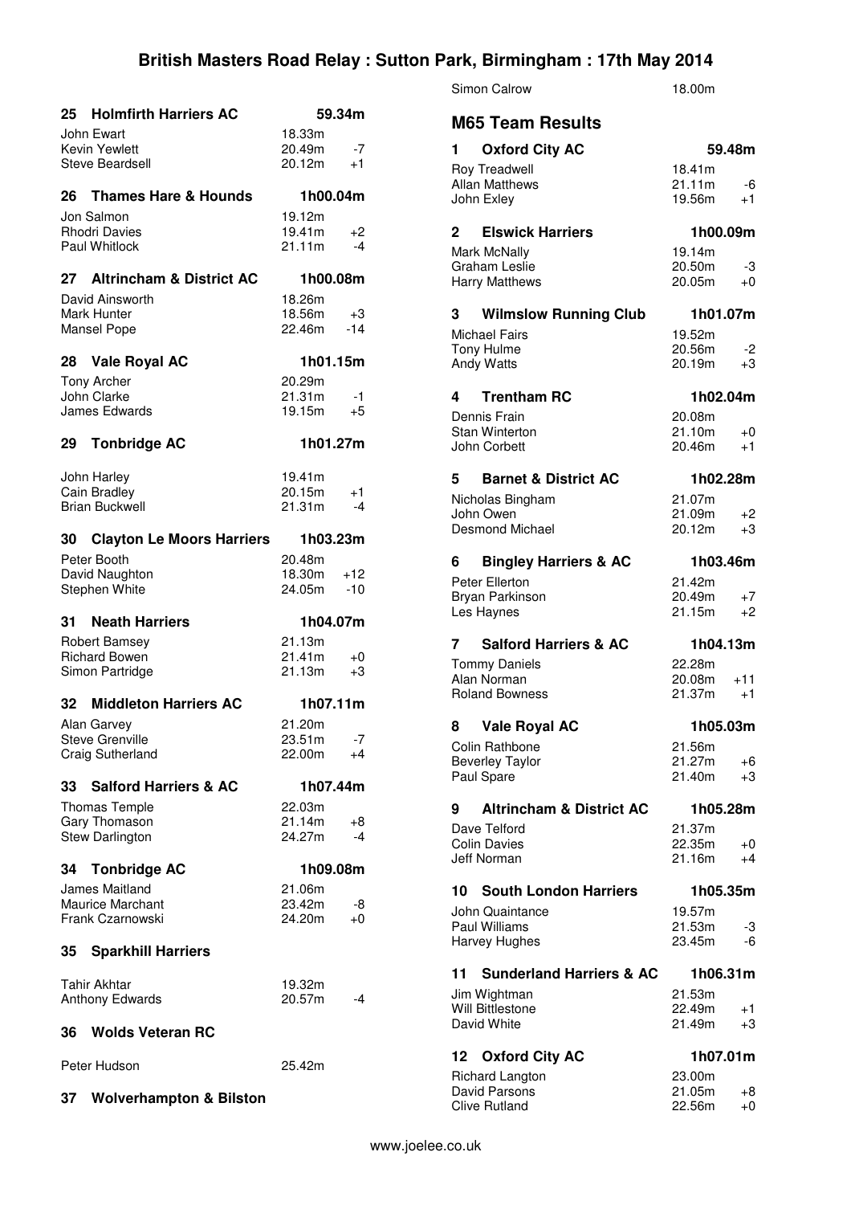# **British Masters Road Relay : Sutton Park, Birmingham : 17th May 2014**

| 25 Holmfirth Harriers AC                                        |                            | 59.34m         |
|-----------------------------------------------------------------|----------------------------|----------------|
| John Ewart<br><b>Kevin Yewlett</b><br>Steve Beardsell           | 18.33m<br>20.49m<br>20.12m | $-7$<br>$+1$   |
| <b>Thames Hare &amp; Hounds</b><br>26 -                         | 1h00.04m                   |                |
| Jon Salmon<br><b>Rhodri Davies</b><br><b>Paul Whitlock</b>      | 19.12m<br>19.41m<br>21.11m | +2<br>$-4$     |
| <b>Altrincham &amp; District AC</b><br>27 -                     | 1h00.08m                   |                |
| David Ainsworth<br>Mark Hunter<br><b>Mansel Pope</b>            | 18.26m<br>18.56m<br>22.46m | +3<br>$-14$    |
| <b>Vale Royal AC</b><br>28                                      | 1h01.15m                   |                |
| <b>Tony Archer</b><br>John Clarke<br><b>James Edwards</b>       | 20.29m<br>21.31m<br>19.15m | -1<br>$+5$     |
| <b>Tonbridge AC</b><br>29                                       | 1h01.27m                   |                |
| John Harley<br><b>Cain Bradley</b><br><b>Brian Buckwell</b>     | 19.41m<br>20.15m<br>21.31m | $+1$<br>-4     |
| <b>Clayton Le Moors Harriers</b><br>30                          | 1h03.23m                   |                |
| Peter Booth<br>David Naughton<br>Stephen White                  | 20.48m<br>18.30m<br>24.05m | $+12$<br>$-10$ |
| 31<br><b>Neath Harriers</b>                                     | 1h04.07m                   |                |
|                                                                 |                            |                |
| Robert Bamsey<br><b>Richard Bowen</b><br>Simon Partridge        | 21.13m<br>21.41m<br>21.13m | $+0$<br>$+3$   |
| 32<br><b>Middleton Harriers AC</b>                              | 1h07.11m                   |                |
| Alan Garvey<br><b>Steve Grenville</b><br>Craig Sutherland       | 21.20m<br>23.51m<br>22.00m | $-7$<br>+4     |
| <b>Salford Harriers &amp; AC</b><br>33                          | 1h07.44m                   |                |
| <b>Thomas Temple</b><br>Gary Thomason<br><b>Stew Darlington</b> | 22.03m<br>21.14m<br>24.27m | +8<br>-4       |
| 34<br><b>Tonbridge AC</b>                                       | 1h09.08m                   |                |
| James Maitland<br><b>Maurice Marchant</b><br>Frank Czarnowski   | 21.06m<br>23.42m<br>24.20m | -8<br>$+0$     |
| <b>Sparkhill Harriers</b><br>35                                 |                            |                |
| Tahir Akhtar<br><b>Anthony Edwards</b>                          | 19.32m<br>20.57m           | -4             |
| <b>Wolds Veteran RC</b><br>36                                   |                            |                |
| Peter Hudson                                                    | 25.42m                     |                |

| Simon Calrow | 18.00m |
|--------------|--------|
|              |        |

**M65 Team Results**

| <b>שטפטח ווו</b> סט ונע                      |                  |          |
|----------------------------------------------|------------------|----------|
| <b>Oxford City AC</b><br>1.                  |                  | 59.48m   |
| <b>Roy Treadwell</b>                         | 18.41m           |          |
| <b>Allan Matthews</b>                        | 21.11m           | -6       |
| John Exley                                   | 19.56m           | $+1$     |
|                                              |                  |          |
| <b>Elswick Harriers</b><br>2                 | 1h00.09m         |          |
| Mark McNally                                 | 19.14m           |          |
| <b>Graham Leslie</b>                         | 20.50m           | -3       |
| <b>Harry Matthews</b>                        | 20.05m           | $+0$     |
|                                              |                  |          |
| <b>Wilmslow Running Club</b><br>3            | 1h01.07m         |          |
| <b>Michael Fairs</b>                         | 19.52m           |          |
| <b>Tony Hulme</b>                            | 20.56m           | -2       |
| Andy Watts                                   | 20.19m           | +3       |
|                                              |                  |          |
| <b>Trentham RC</b><br>4                      | 1h02.04m         |          |
| Dennis Frain                                 | 20.08m           |          |
| <b>Stan Winterton</b>                        | 21.10m           | $+0$     |
| John Corbett                                 | 20.46m           | $+1$     |
|                                              |                  |          |
| <b>Barnet &amp; District AC</b><br>5.        | 1h02.28m         |          |
|                                              |                  |          |
| Nicholas Bingham                             | 21.07m           |          |
| John Owen<br><b>Desmond Michael</b>          | 21.09m           | +2       |
|                                              | 20.12m           | +3       |
| <b>Bingley Harriers &amp; AC</b><br>6.       | 1h03.46m         |          |
| Peter Ellerton                               |                  |          |
|                                              | 21.42m<br>20.49m | $+7$     |
| Bryan Parkinson<br>Les Haynes                | 21.15m           | +2       |
|                                              |                  |          |
|                                              |                  |          |
| <b>Salford Harriers &amp; AC</b><br>7        | 1h04.13m         |          |
|                                              |                  |          |
| <b>Tommy Daniels</b>                         | 22.28m           |          |
| Alan Norman                                  | 20.08m           | $+11$    |
| <b>Roland Bowness</b>                        | 21.37m           | $+1$     |
| <b>Vale Royal AC</b><br>8                    | 1h05.03m         |          |
|                                              |                  |          |
| Colin Rathbone                               | 21.56m           |          |
| <b>Beverley Taylor</b>                       | 21.27m           | +6       |
| Paul Spare                                   | 21.40m           | +3       |
| <b>Altrincham &amp; District AC</b><br>9     | 1h05.28m         |          |
|                                              |                  |          |
| Dave Telford                                 | 21.37m           |          |
| <b>Colin Davies</b><br>Jeff Norman           | 22.35m<br>21.16m | +0<br>+4 |
|                                              |                  |          |
| <b>South London Harriers</b><br>10           | 1h05.35m         |          |
|                                              |                  |          |
| John Quaintance                              | 19.57m<br>21.53m |          |
| <b>Paul Williams</b><br>Harvey Hughes        | 23.45m           | -3<br>-6 |
|                                              |                  |          |
| <b>Sunderland Harriers &amp; AC</b><br>11    | 1h06.31m         |          |
| Jim Wightman                                 | 21.53m           |          |
| <b>Will Bittlestone</b>                      | 22.49m           | $+1$     |
| David White                                  | 21.49m           | +3       |
|                                              |                  |          |
| <b>Oxford City AC</b><br>12.                 | 1h07.01m         |          |
| Richard Langton                              | 23.00m           |          |
| <b>David Parsons</b><br><b>Clive Rutland</b> | 21.05m<br>22.56m | +8<br>+0 |